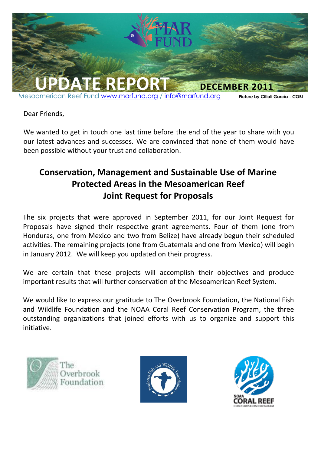

Dear Friends,

We wanted to get in touch one last time before the end of the year to share with you our latest advances and successes. We are convinced that none of them would have been possible without your trust and collaboration.

## **Conservation, Management and Sustainable Use of Marine Protected Areas in the Mesoamerican Reef Joint Request for Proposals**

The six projects that were approved in September 2011, for our Joint Request for Proposals have signed their respective grant agreements. Four of them (one from Honduras, one from Mexico and two from Belize) have already begun their scheduled activities. The remaining projects (one from Guatemala and one from Mexico) will begin in January 2012. We will keep you updated on their progress.

We are certain that these projects will accomplish their objectives and produce important results that will further conservation of the Mesoamerican Reef System.

We would like to express our gratitude to The Overbrook Foundation, the National Fish and Wildlife Foundation and the NOAA Coral Reef Conservation Program, the three outstanding organizations that joined efforts with us to organize and support this initiative.





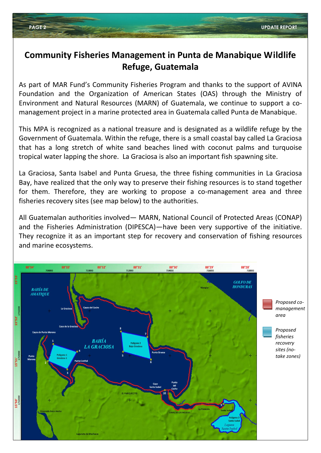## **Community Fisheries Management in Punta de Manabique Wildlife Refuge, Guatemala**

As part of MAR Fund's Community Fisheries Program and thanks to the support of AVINA Foundation and the Organization of American States (OAS) through the Ministry of Environment and Natural Resources (MARN) of Guatemala, we continue to support a comanagement project in a marine protected area in Guatemala called Punta de Manabique.

This MPA is recognized as a national treasure and is designated as a wildlife refuge by the Government of Guatemala. Within the refuge, there is a small coastal bay called La Graciosa that has a long stretch of white sand beaches lined with coconut palms and turquoise tropical water lapping the shore. La Graciosa is also an important fish spawning site.

La Graciosa, Santa Isabel and Punta Gruesa, the three fishing communities in La Graciosa Bay, have realized that the only way to preserve their fishing resources is to stand together for them. Therefore, they are working to propose a co-management area and three fisheries recovery sites (see map below) to the authorities.

All Guatemalan authorities involved— MARN, National Council of Protected Areas (CONAP) and the Fisheries Administration (DIPESCA)—have been very supportive of the initiative. They recognize it as an important step for recovery and conservation of fishing resources and marine ecosystems.

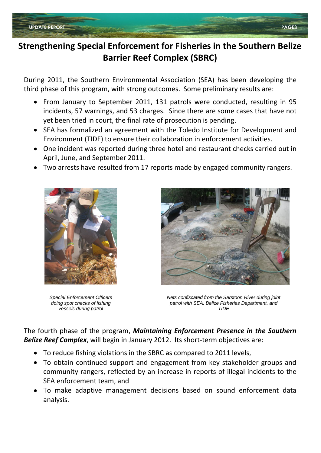### **Strengthening Special Enforcement for Fisheries in the Southern Belize Barrier Reef Complex (SBRC)**

During 2011, the Southern Environmental Association (SEA) has been developing the third phase of this program, with strong outcomes. Some preliminary results are:

- From January to September 2011, 131 patrols were conducted, resulting in 95 incidents, 57 warnings, and 53 charges. Since there are some cases that have not yet been tried in court, the final rate of prosecution is pending.
- SEA has formalized an agreement with the Toledo Institute for Development and Environment (TIDE) to ensure their collaboration in enforcement activities.
- One incident was reported during three hotel and restaurant checks carried out in April, June, and September 2011.
- Two arrests have resulted from 17 reports made by engaged community rangers.



*Special Enforcement Officers doing spot checks of fishing vessels during patrol*



*Nets confiscated from the Sarstoon River during joint patrol with SEA, Belize Fisheries Department, and TIDE*

The fourth phase of the program, *Maintaining Enforcement Presence in the Southern Belize Reef Complex*, will begin in January 2012. Its short-term objectives are:

- To reduce fishing violations in the SBRC as compared to 2011 levels,
- To obtain continued support and engagement from key stakeholder groups and community rangers, reflected by an increase in reports of illegal incidents to the SEA enforcement team, and
- To make adaptive management decisions based on sound enforcement data analysis.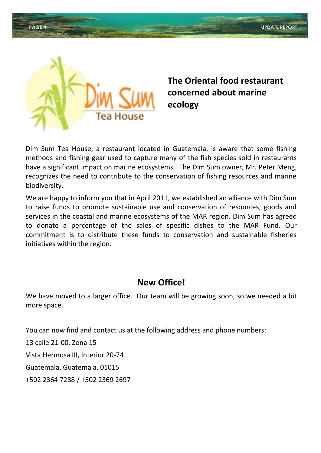

## **The Oriental food restaurant concerned about marine ecology**

Dim Sum Tea House, a restaurant located in Guatemala, is aware that some fishing methods and fishing gear used to capture many of the fish species sold in restaurants have a significant impact on marine ecosystems. The Dim Sum owner, Mr. Peter Meng, recognizes the need to contribute to the conservation of fishing resources and marine biodiversity.

We are happy to inform you that in April 2011, we established an alliance with Dim Sum to raise funds to promote sustainable use and conservation of resources, goods and services in the coastal and marine ecosystems of the MAR region. Dim Sum has agreed to donate a percentage of the sales of specific dishes to the MAR Fund. Our commitment is to distribute these funds to conservation and sustainable fisheries initiatives within the region.

### **New Office!**

We have moved to a larger office. Our team will be growing soon, so we needed a bit more space.

You can now find and contact us at the following address and phone numbers:

13 calle 21-00, Zona 15

Vista Hermosa III, Interior 20-74

Guatemala, Guatemala, 01015

+502 2364 7288 / +502 2369 2697